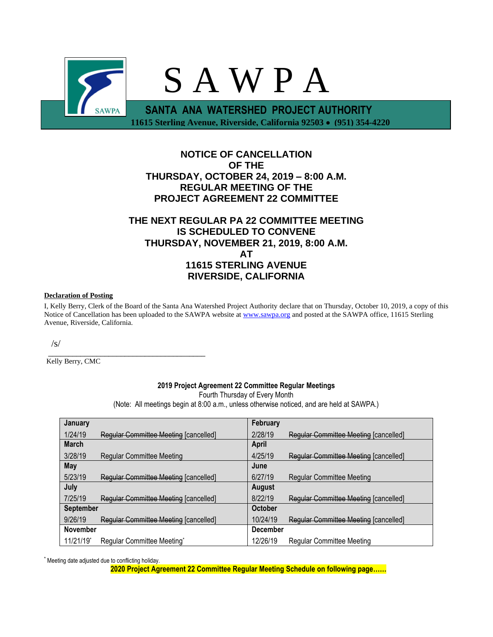

# **NOTICE OF CANCELLATION OF THE THURSDAY, OCTOBER 24, 2019 – 8:00 A.M. REGULAR MEETING OF THE PROJECT AGREEMENT 22 COMMITTEE**

## **THE NEXT REGULAR PA 22 COMMITTEE MEETING IS SCHEDULED TO CONVENE THURSDAY, NOVEMBER 21, 2019, 8:00 A.M. AT 11615 STERLING AVENUE RIVERSIDE, CALIFORNIA**

#### **Declaration of Posting**

I, Kelly Berry, Clerk of the Board of the Santa Ana Watershed Project Authority declare that on Thursday, October 10, 2019, a copy of this Notice of Cancellation has been uploaded to the SAWPA website at [www.sawpa.org](http://www.sawpa.org/) and posted at the SAWPA office, 11615 Sterling Avenue, Riverside, California.

/s/

\_\_\_\_\_\_\_\_\_\_\_\_\_\_\_\_\_\_\_\_\_\_\_\_\_\_\_\_\_\_\_\_\_\_\_\_\_\_\_ Kelly Berry, CMC

## **2019 Project Agreement 22 Committee Regular Meetings**

Fourth Thursday of Every Month

(Note: All meetings begin at 8:00 a.m., unless otherwise noticed, and are held at SAWPA.)

| January          |                                              | February        |                                              |
|------------------|----------------------------------------------|-----------------|----------------------------------------------|
| 1/24/19          | Regular Committee Meeting [cancelled]        | 2/28/19         | Regular Committee Meeting [cancelled]        |
| <b>March</b>     |                                              | April           |                                              |
| 3/28/19          | <b>Regular Committee Meeting</b>             | 4/25/19         | Regular Committee Meeting [cancelled]        |
| May              |                                              | June            |                                              |
| 5/23/19          | <b>Regular Committee Meeting [cancelled]</b> | 6/27/19         | <b>Regular Committee Meeting</b>             |
| July             |                                              | <b>August</b>   |                                              |
| 7/25/19          | Regular Committee Meeting [cancelled]        | 8/22/19         | Regular Committee Meeting [cancelled]        |
| <b>September</b> |                                              | October         |                                              |
| 9/26/19          | <b>Regular Committee Meeting [cancelled]</b> | 10/24/19        | <b>Regular Committee Meeting [cancelled]</b> |
| <b>November</b>  |                                              | <b>December</b> |                                              |
| 11/21/19*        | Regular Committee Meeting*                   | 12/26/19        | <b>Regular Committee Meeting</b>             |

\* Meeting date adjusted due to conflicting holiday.

**2020 Project Agreement 22 Committee Regular Meeting Schedule on following page……**